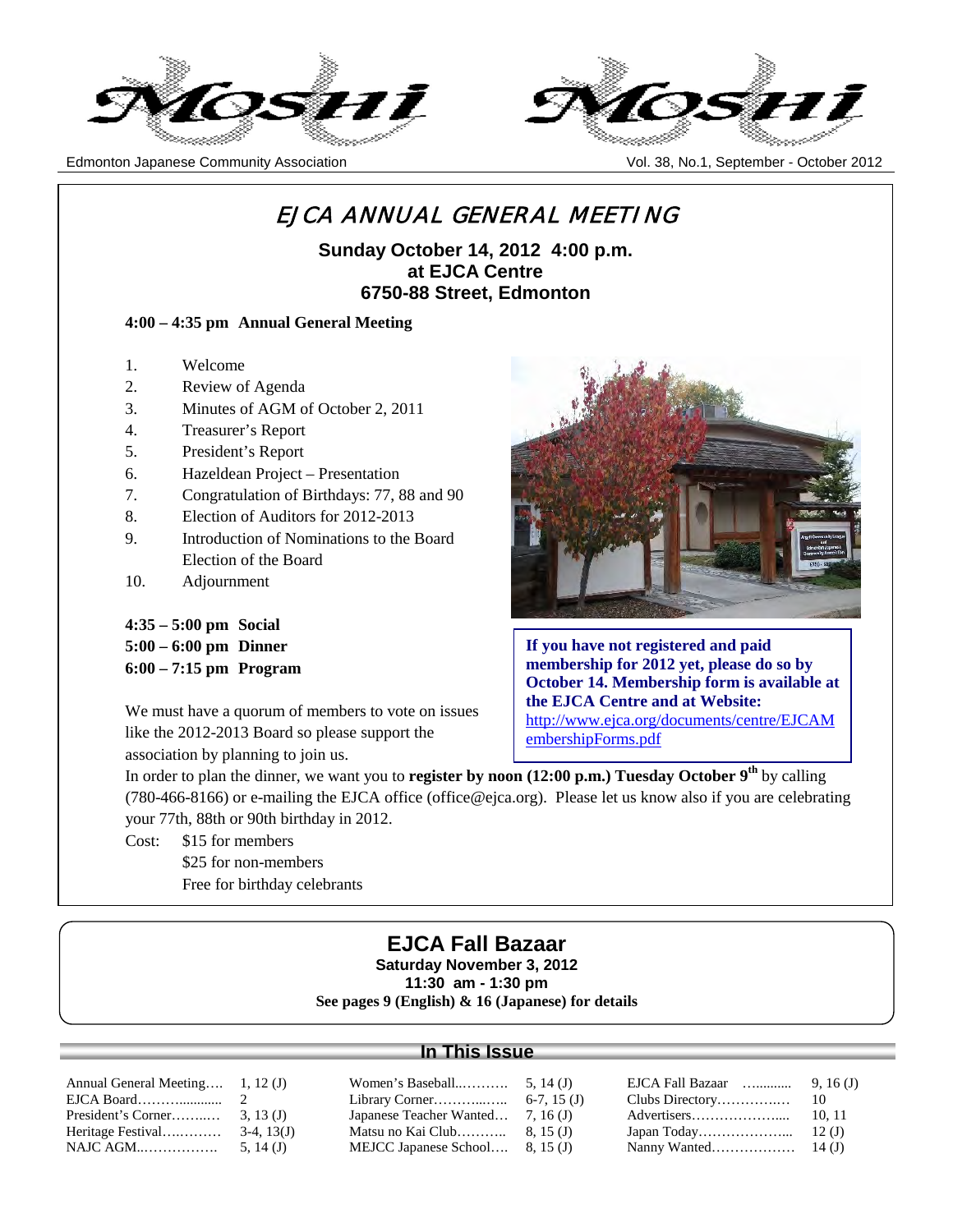



Edmonton Japanese Community Association Vol. 38, No.1, September - October 2012

# *EJCA ANNUAL GENERAL MEETING*

**Sunday October 14, 2012 4:00 p.m. at EJCA Centre 6750-88 Street, Edmonton**

#### **4:00 – 4:35 pm Annual General Meeting**

- 1. Welcome
- 2. Review of Agenda
- 3. Minutes of AGM of October 2, 2011
- 4. Treasurer's Report
- 5. President's Report
- 6. Hazeldean Project Presentation
- 7. Congratulation of Birthdays: 77, 88 and 90
- 8. Election of Auditors for 2012-2013
- 9. Introduction of Nominations to the Board Election of the Board
- 10. Adjournment

## **4:35 – 5:00 pm Social**

- **5:00 6:00 pm Dinner**
- **6:00 7:15 pm Program**

We must have a quorum of members to vote on issues like the 2012-2013 Board so please support the association by planning to join us.



**If you have not registered and paid membership for 2012 yet, please do so by October 14. Membership form is available at the EJCA Centre and at Website:** http://www.ejca.org/documents/centre/EJCAM embershipForms.pdf

In order to plan the dinner, we want you to **register by noon (12:00 p.m.) Tuesday October 9th** by calling (780-466-8166) or e-mailing the EJCA office (office@ejca.org). Please let us know also if you are celebrating your 77th, 88th or 90th birthday in 2012.

Cost: \$15 for members

l

\$25 for non-members

Free for birthday celebrants

# **EJCA Fall Bazaar**

**Saturday November 3, 2012 11:30 am - 1:30 pm** 

**See pages 9 (English) & 16 (Japanese) for details** 

### **In This Issue**

| Annual General Meeting 1, 12 (J) |  |                                                                                                       |  |
|----------------------------------|--|-------------------------------------------------------------------------------------------------------|--|
|                                  |  |                                                                                                       |  |
|                                  |  |                                                                                                       |  |
|                                  |  |                                                                                                       |  |
|                                  |  |                                                                                                       |  |
|                                  |  | Japanese Teacher Wanted 7, 16 (J)<br>Matsu no Kai Club 8, 15 (J)<br>MEJCC Japanese School $8, 15$ (J) |  |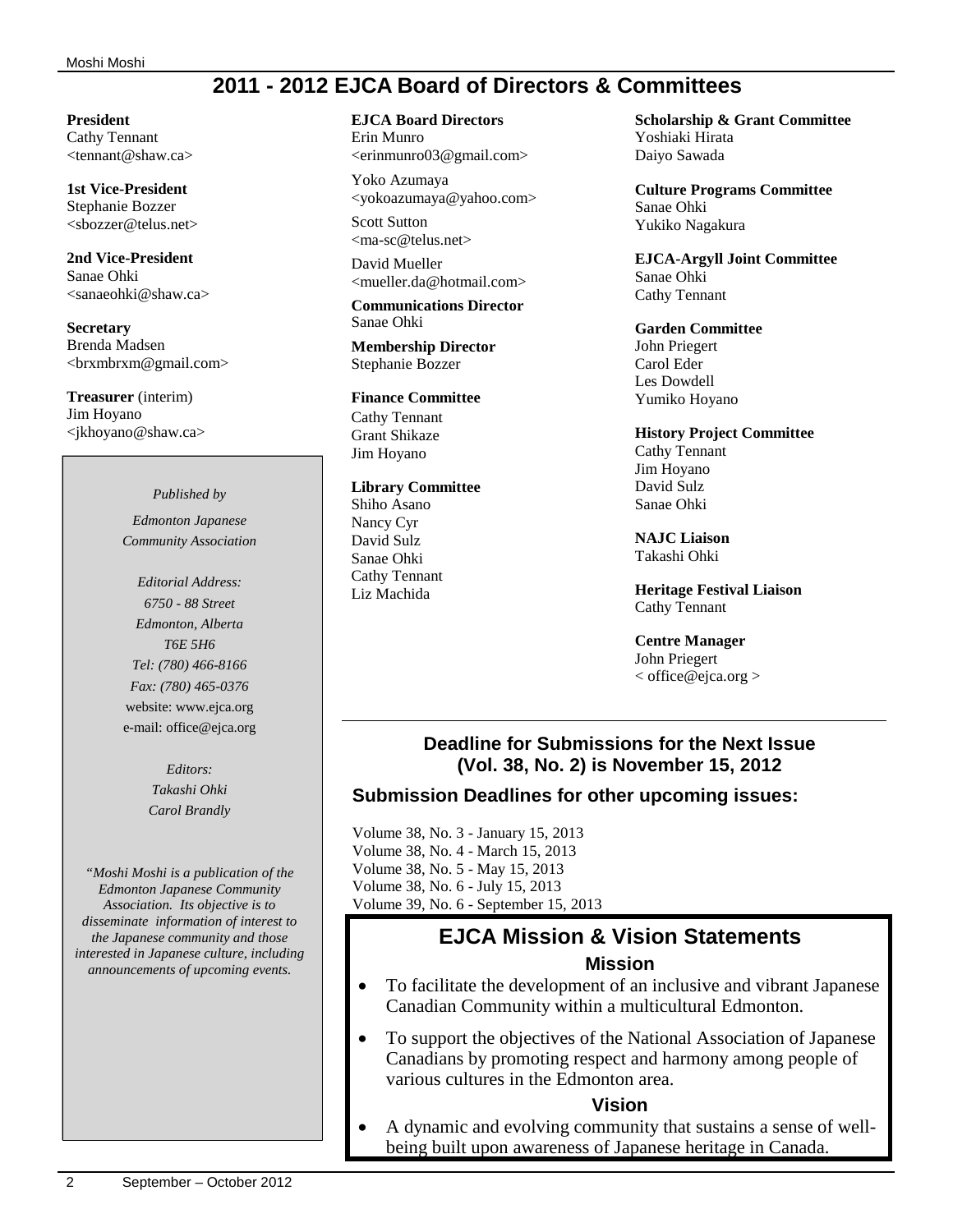#### Moshi Moshi

# **2011 - 2012 EJCA Board of Directors & Committees**

**President** 

Cathy Tennant <tennant@shaw.ca>

**1st Vice-President**  Stephanie Bozzer <sbozzer@telus.net>

**2nd Vice-President**  Sanae Ohki <sanaeohki@shaw.ca>

**Secretary**  Brenda Madsen <brxmbrxm@gmail.com>

**Treasurer** (interim) Jim Hoyano <jkhoyano@shaw.ca>

> *Published by Edmonton Japanese Community Association*

*Editorial Address: 6750 - 88 Street Edmonton, Alberta T6E 5H6 Tel: (780) 466-8166 Fax: (780) 465-0376*  website: www.ejca.org e-mail: office@ejca.org

> *Editors: Takashi Ohki Carol Brandly*

*"Moshi Moshi is a publication of the Edmonton Japanese Community Association. Its objective is to disseminate information of interest to the Japanese community and those interested in Japanese culture, including announcements of upcoming events.* 

**EJCA Board Directors**  Erin Munro <erinmunro03@gmail.com>

Yoko Azumaya <yokoazumaya@yahoo.com> Scott Sutton

<ma-sc@telus.net>

David Mueller <mueller.da@hotmail.com>

**Communications Director**  Sanae Ohki

**Membership Director** 

Stephanie Bozzer

# **Finance Committee**

Cathy Tennant Grant Shikaze Jim Hoyano

#### **Library Committee**

Shiho Asano Nancy Cyr David Sulz Sanae Ohki Cathy Tennant Liz Machida

**Scholarship & Grant Committee** Yoshiaki Hirata Daiyo Sawada

**Culture Programs Committee**  Sanae Ohki Yukiko Nagakura

**EJCA-Argyll Joint Committee**  Sanae Ohki Cathy Tennant

**Garden Committee**  John Priegert Carol Eder Les Dowdell Yumiko Hoyano

#### **History Project Committee**  Cathy Tennant

Jim Hoyano David Sulz Sanae Ohki

**NAJC Liaison** Takashi Ohki

**Heritage Festival Liaison** Cathy Tennant

**Centre Manager** John Priegert < office@ejca.org >

## **Deadline for Submissions for the Next Issue (Vol. 38, No. 2) is November 15, 2012**

## **Submission Deadlines for other upcoming issues:**

Volume 38, No. 3 - January 15, 2013 Volume 38, No. 4 - March 15, 2013 Volume 38, No. 5 - May 15, 2013 Volume 38, No. 6 - July 15, 2013 Volume 39, No. 6 - September 15, 2013

# **EJCA Mission & Vision Statements**

## **Mission**

- To facilitate the development of an inclusive and vibrant Japanese Canadian Community within a multicultural Edmonton.
- · To support the objectives of the National Association of Japanese Canadians by promoting respect and harmony among people of various cultures in the Edmonton area.

### **Vision**

· A dynamic and evolving community that sustains a sense of wellbeing built upon awareness of Japanese heritage in Canada.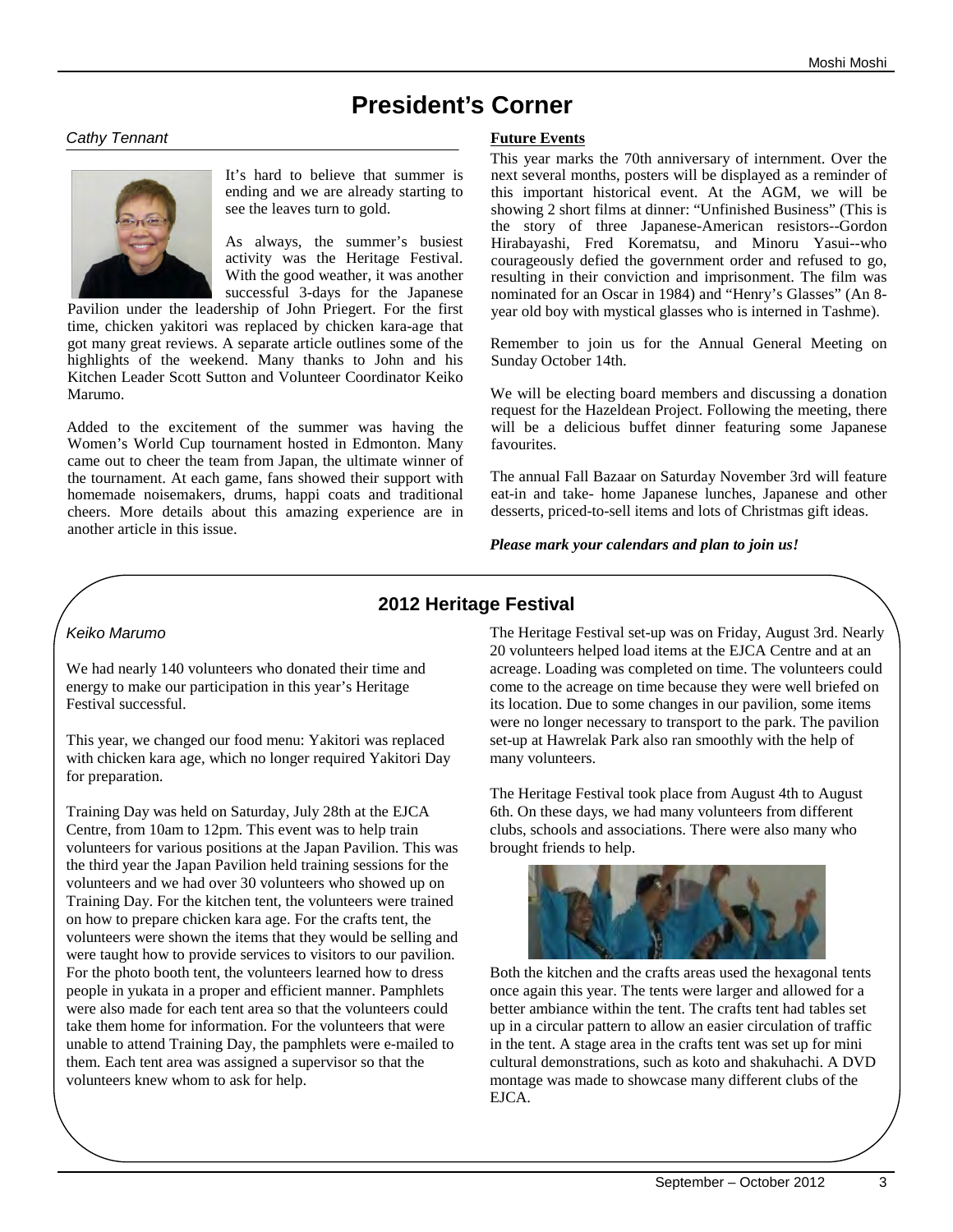# **President's Corner**

#### *Cathy Tennant*



It's hard to believe that summer is ending and we are already starting to see the leaves turn to gold.

As always, the summer's busiest activity was the Heritage Festival. With the good weather, it was another successful 3-days for the Japanese

Pavilion under the leadership of John Priegert. For the first time, chicken yakitori was replaced by chicken kara-age that got many great reviews. A separate article outlines some of the highlights of the weekend. Many thanks to John and his Kitchen Leader Scott Sutton and Volunteer Coordinator Keiko Marumo.

Added to the excitement of the summer was having the Women's World Cup tournament hosted in Edmonton. Many came out to cheer the team from Japan, the ultimate winner of the tournament. At each game, fans showed their support with homemade noisemakers, drums, happi coats and traditional cheers. More details about this amazing experience are in another article in this issue.

#### **Future Events**

This year marks the 70th anniversary of internment. Over the next several months, posters will be displayed as a reminder of this important historical event. At the AGM, we will be showing 2 short films at dinner: "Unfinished Business" (This is the story of three Japanese-American resistors--Gordon Hirabayashi, Fred Korematsu, and Minoru Yasui--who courageously defied the government order and refused to go, resulting in their conviction and imprisonment. The film was nominated for an Oscar in 1984) and "Henry's Glasses" (An 8 year old boy with mystical glasses who is interned in Tashme).

Remember to join us for the Annual General Meeting on Sunday October 14th.

We will be electing board members and discussing a donation request for the Hazeldean Project. Following the meeting, there will be a delicious buffet dinner featuring some Japanese favourites.

The annual Fall Bazaar on Saturday November 3rd will feature eat-in and take- home Japanese lunches, Japanese and other desserts, priced-to-sell items and lots of Christmas gift ideas.

*Please mark your calendars and plan to join us!*

# **2012 Heritage Festival**

### *Keiko Marumo*

We had nearly 140 volunteers who donated their time and energy to make our participation in this year's Heritage Festival successful.

This year, we changed our food menu: Yakitori was replaced with chicken kara age, which no longer required Yakitori Day for preparation.

Training Day was held on Saturday, July 28th at the EJCA Centre, from 10am to 12pm. This event was to help train volunteers for various positions at the Japan Pavilion. This was the third year the Japan Pavilion held training sessions for the volunteers and we had over 30 volunteers who showed up on Training Day. For the kitchen tent, the volunteers were trained on how to prepare chicken kara age. For the crafts tent, the volunteers were shown the items that they would be selling and were taught how to provide services to visitors to our pavilion. For the photo booth tent, the volunteers learned how to dress people in yukata in a proper and efficient manner. Pamphlets were also made for each tent area so that the volunteers could take them home for information. For the volunteers that were unable to attend Training Day, the pamphlets were e-mailed to them. Each tent area was assigned a supervisor so that the volunteers knew whom to ask for help.

The Heritage Festival set-up was on Friday, August 3rd. Nearly 20 volunteers helped load items at the EJCA Centre and at an acreage. Loading was completed on time. The volunteers could come to the acreage on time because they were well briefed on its location. Due to some changes in our pavilion, some items were no longer necessary to transport to the park. The pavilion set-up at Hawrelak Park also ran smoothly with the help of many volunteers.

The Heritage Festival took place from August 4th to August 6th. On these days, we had many volunteers from different clubs, schools and associations. There were also many who brought friends to help.



Both the kitchen and the crafts areas used the hexagonal tents once again this year. The tents were larger and allowed for a better ambiance within the tent. The crafts tent had tables set up in a circular pattern to allow an easier circulation of traffic in the tent. A stage area in the crafts tent was set up for mini cultural demonstrations, such as koto and shakuhachi. A DVD montage was made to showcase many different clubs of the EJCA.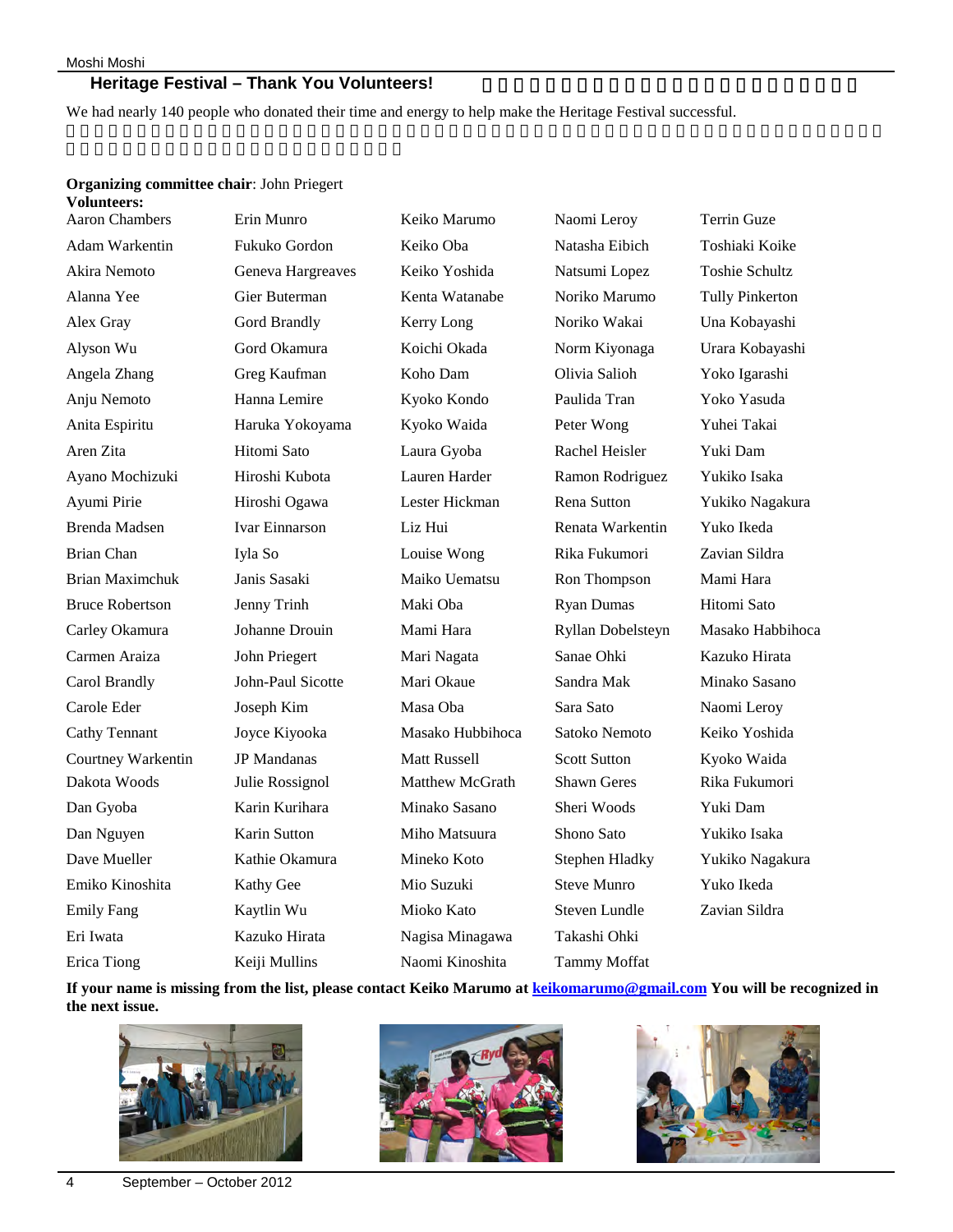### **Heritage Festival – Thank You Volunteers!**

We had nearly 140 people who donated their time and energy to help make the Heritage Festival successful.

#### **Organizing committee chair**: John Priegert

**Volunteers:**  Aaron Chambers Erin Munro Keiko Marumo Naomi Leroy Terrin Guze Adam Warkentin Fukuko Gordon Keiko Oba Natasha Eibich Toshiaki Koike Akira Nemoto Geneva Hargreaves Keiko Yoshida Natsumi Lopez Toshie Schultz Alanna Yee Gier Buterman Kenta Watanabe Noriko Marumo Tully Pinkerton Alex Gray Gord Brandly Kerry Long Noriko Wakai Una Kobayashi Alyson Wu Gord Okamura Koichi Okada Norm Kiyonaga Urara Kobayashi Angela Zhang Greg Kaufman Koho Dam Olivia Salioh Yoko Igarashi Anju Nemoto Hanna Lemire Kyoko Kondo Paulida Tran Yoko Yasuda Anita Espiritu Haruka Yokoyama Kyoko Waida Peter Wong Yuhei Takai Aren Zita Hitomi Sato Laura Gyoba Rachel Heisler Yuki Dam Ayano Mochizuki Hiroshi Kubota Lauren Harder Ramon Rodriguez Yukiko Isaka Ayumi Pirie Hiroshi Ogawa Lester Hickman Rena Sutton Yukiko Nagakura Brenda Madsen Ivar Einnarson Liz Hui Renata Warkentin Yuko Ikeda Brian Chan Iyla So Louise Wong Rika Fukumori Zavian Sildra Brian Maximchuk Janis Sasaki Maiko Uematsu Ron Thompson Mami Hara Bruce Robertson Jenny Trinh Maki Oba Ryan Dumas Hitomi Sato Carley Okamura Johanne Drouin Mami Hara Ryllan Dobelsteyn Masako Habbihoca Carmen Araiza John Priegert Mari Nagata Sanae Ohki Kazuko Hirata Carol Brandly John-Paul Sicotte Mari Okaue Sandra Mak Minako Sasano Carole Eder Joseph Kim Masa Oba Sara Sato Naomi Leroy Cathy Tennant Joyce Kiyooka Masako Hubbihoca Satoko Nemoto Keiko Yoshida Courtney Warkentin JP Mandanas Matt Russell Scott Sutton Kyoko Waida Dakota Woods Julie Rossignol Matthew McGrath Shawn Geres Rika Fukumori Dan Gyoba Karin Kurihara Minako Sasano Sheri Woods Yuki Dam Dan Nguyen Karin Sutton Miho Matsuura Shono Sato Yukiko Isaka Dave Mueller Kathie Okamura Mineko Koto Stephen Hladky Yukiko Nagakura Emiko Kinoshita Kathy Gee Mio Suzuki Steve Munro Yuko Ikeda Emily Fang Kaytlin Wu Mioko Kato Steven Lundle Zavian Sildra Eri Iwata Kazuko Hirata Nagisa Minagawa Takashi Ohki Erica Tiong Keiji Mullins Naomi Kinoshita Tammy Moffat

If your name is missing from the list, please contact Keiko Marumo at keikomarumo@gmail.com You will be recognized in **the next issue.**





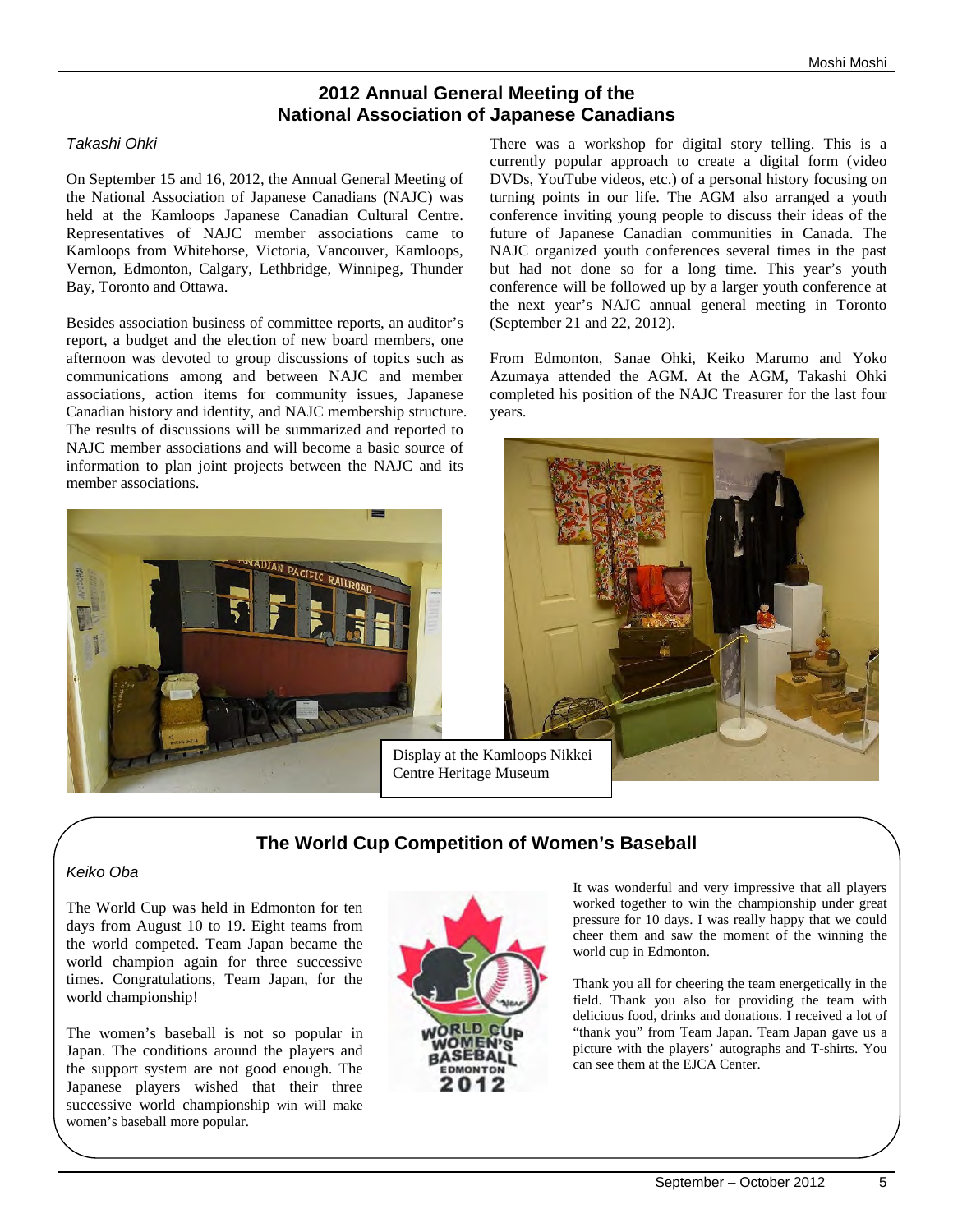## **2012 Annual General Meeting of the National Association of Japanese Canadians**

#### *Takashi Ohki*

On September 15 and 16, 2012, the Annual General Meeting of the National Association of Japanese Canadians (NAJC) was held at the Kamloops Japanese Canadian Cultural Centre. Representatives of NAJC member associations came to Kamloops from Whitehorse, Victoria, Vancouver, Kamloops, Vernon, Edmonton, Calgary, Lethbridge, Winnipeg, Thunder Bay, Toronto and Ottawa.

Besides association business of committee reports, an auditor's report, a budget and the election of new board members, one afternoon was devoted to group discussions of topics such as communications among and between NAJC and member associations, action items for community issues, Japanese Canadian history and identity, and NAJC membership structure. The results of discussions will be summarized and reported to NAJC member associations and will become a basic source of information to plan joint projects between the NAJC and its member associations.



There was a workshop for digital story telling. This is a currently popular approach to create a digital form (video DVDs, YouTube videos, etc.) of a personal history focusing on turning points in our life. The AGM also arranged a youth conference inviting young people to discuss their ideas of the future of Japanese Canadian communities in Canada. The NAJC organized youth conferences several times in the past but had not done so for a long time. This year's youth conference will be followed up by a larger youth conference at the next year's NAJC annual general meeting in Toronto (September 21 and 22, 2012).

From Edmonton, Sanae Ohki, Keiko Marumo and Yoko Azumaya attended the AGM. At the AGM, Takashi Ohki completed his position of the NAJC Treasurer for the last four years.



# **The World Cup Competition of Women's Baseball**

#### *Keiko Oba*

The World Cup was held in Edmonton for ten days from August 10 to 19. Eight teams from the world competed. Team Japan became the world champion again for three successive times. Congratulations, Team Japan, for the world championship!

The women's baseball is not so popular in Japan. The conditions around the players and the support system are not good enough. The Japanese players wished that their three successive world championship win will make women's baseball more popular.



It was wonderful and very impressive that all players worked together to win the championship under great pressure for 10 days. I was really happy that we could cheer them and saw the moment of the winning the world cup in Edmonton.

Thank you all for cheering the team energetically in the field. Thank you also for providing the team with delicious food, drinks and donations. I received a lot of "thank you" from Team Japan. Team Japan gave us a picture with the players' autographs and T-shirts. You can see them at the EJCA Center.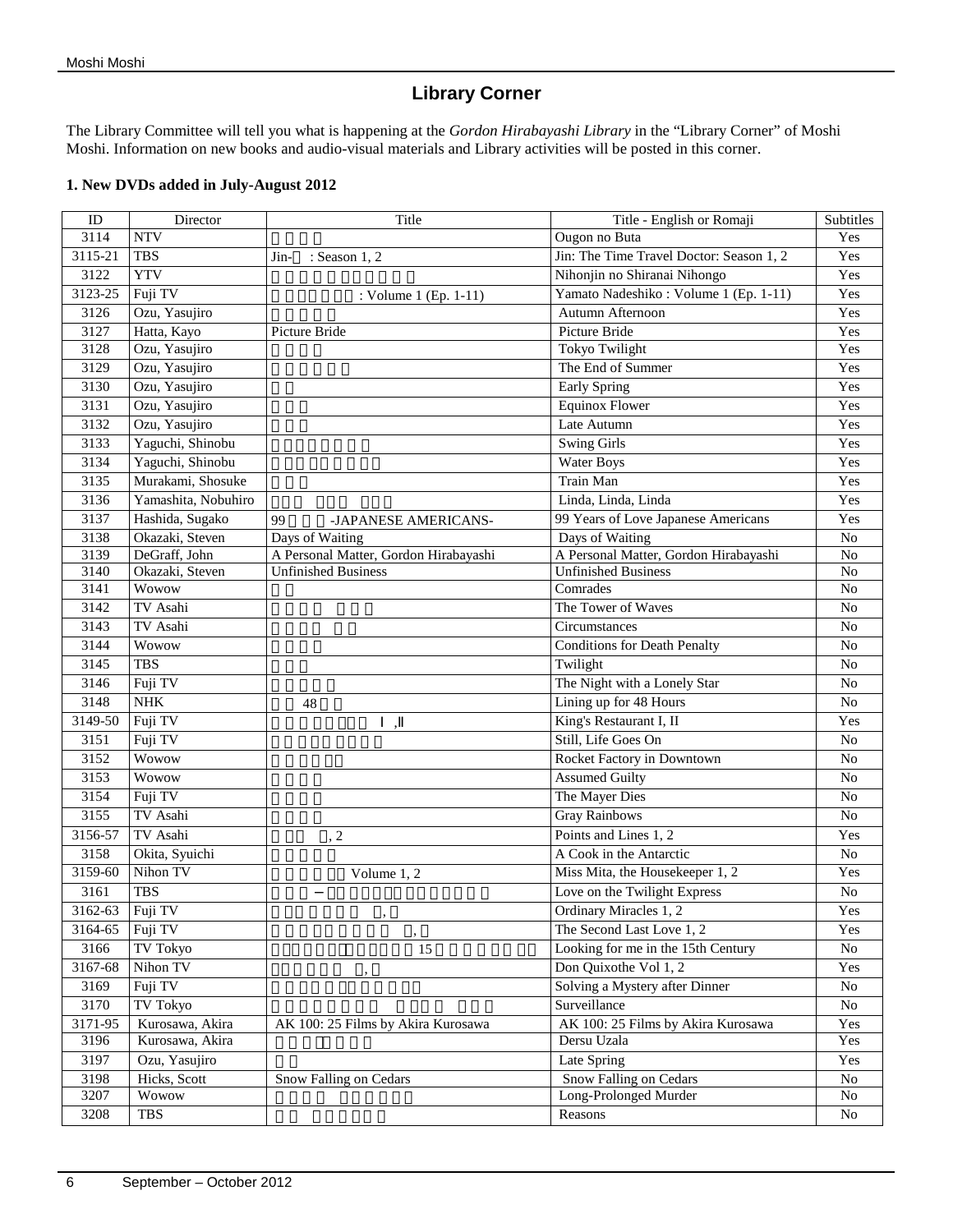# **Library Corner**

The Library Committee will tell you what is happening at the *Gordon Hirabayashi Library* in the "Library Corner" of Moshi Moshi. Information on new books and audio-visual materials and Library activities will be posted in this corner.

#### **1. New DVDs added in July-August 2012**

| $\overline{ID}$<br>Title - English or Romaji<br>Director<br>Title                                       | Subtitles       |
|---------------------------------------------------------------------------------------------------------|-----------------|
| <b>NTV</b><br>3114<br>Ougon no Buta                                                                     | Yes             |
| <b>TBS</b><br>Jin: The Time Travel Doctor: Season 1, 2<br>3115-21<br>: Season $1, 2$<br>Jin-            | Yes             |
| 3122<br><b>YTV</b><br>Nihonjin no Shiranai Nihongo                                                      | Yes             |
| Yamato Nadeshiko: Volume 1 (Ep. 1-11)<br>3123-25<br>Fuji TV<br>: Volume 1 (Ep. 1-11)                    | Yes             |
| 3126<br>Ozu, Yasujiro<br>Autumn Afternoon                                                               | Yes             |
| Picture Bride<br>3127<br>Hatta, Kayo<br>Picture Bride                                                   | Yes             |
| 3128<br>Ozu, Yasujiro<br><b>Tokyo Twilight</b>                                                          | Yes             |
| The End of Summer<br>3129<br>Ozu, Yasujiro                                                              | Yes             |
| 3130<br>Ozu, Yasujiro<br>Early Spring                                                                   | Yes             |
| 3131<br>Ozu, Yasujiro<br><b>Equinox Flower</b>                                                          | Yes             |
| 3132<br>Ozu, Yasujiro<br>Late Autumn                                                                    | Yes             |
| 3133<br>Yaguchi, Shinobu<br><b>Swing Girls</b>                                                          | Yes             |
| 3134<br>Yaguchi, Shinobu<br><b>Water Boys</b>                                                           | Yes             |
| Murakami, Shosuke<br>3135<br>Train Man                                                                  | Yes             |
| 3136<br>Yamashita, Nobuhiro<br>Linda, Linda, Linda                                                      | Yes             |
| 3137<br>Hashida, Sugako<br>99 Years of Love Japanese Americans<br>99<br>-JAPANESE AMERICANS-            | Yes             |
| 3138<br>Okazaki, Steven<br>Days of Waiting<br>Days of Waiting                                           | No              |
| A Personal Matter, Gordon Hirabayashi<br>3139<br>A Personal Matter, Gordon Hirabayashi<br>DeGraff, John | $\overline{No}$ |
| 3140<br><b>Unfinished Business</b><br>Okazaki, Steven<br><b>Unfinished Business</b>                     | No              |
| 3141<br>Wowow<br>Comrades                                                                               | No              |
| The Tower of Waves<br>3142<br>TV Asahi                                                                  | No              |
| 3143<br>TV Asahi<br>Circumstances                                                                       | No              |
| 3144<br><b>Conditions for Death Penalty</b><br>Wowow                                                    | No              |
| 3145<br><b>TBS</b><br>Twilight                                                                          | No              |
| 3146<br>Fuji TV<br>The Night with a Lonely Star                                                         | No              |
| 3148<br>Lining up for 48 Hours<br>$\rm NHK$<br>48                                                       | No              |
| King's Restaurant I, II<br>3149-50<br>Fuji TV                                                           | Yes             |
| Still, Life Goes On<br>3151<br>Fuji TV                                                                  | No              |
| 3152<br>Wowow<br>Rocket Factory in Downtown                                                             | No              |
| 3153<br><b>Assumed Guilty</b><br>Wowow                                                                  | No              |
| 3154<br>The Mayer Dies<br>Fuji TV                                                                       | No              |
| 3155<br><b>Gray Rainbows</b><br>TV Asahi                                                                | No              |
| Points and Lines 1, 2<br>3156-57<br>TV Asahi<br>, 2                                                     | Yes             |
| 3158<br>Okita, Syuichi<br>A Cook in the Antarctic                                                       | N <sub>o</sub>  |
| Miss Mita, the Housekeeper 1, 2<br>3159-60<br>Nihon TV<br>Volume 1, 2                                   | Yes             |
| 3161<br>Love on the Twilight Express<br><b>TBS</b>                                                      | $\rm No$        |
| 3162-63 Fuji TV<br>Ordinary Miracles 1, 2                                                               | Yes             |
| $\, ,$<br>Fuji TV<br>The Second Last Love 1, 2<br>3164-65                                               | Yes             |
| Looking for me in the 15th Century<br>3166<br>TV Tokyo<br>15                                            | No              |
| Nihon TV<br>Don Quixothe Vol 1, 2<br>3167-68                                                            | Yes             |
| Solving a Mystery after Dinner<br>3169<br>Fuji TV                                                       | No              |
| Surveillance<br>3170<br>TV Tokyo                                                                        | $\rm No$        |
| 3171-95<br>Kurosawa, Akira<br>AK 100: 25 Films by Akira Kurosawa<br>AK 100: 25 Films by Akira Kurosawa  | Yes             |
| 3196<br>Kurosawa, Akira<br>Dersu Uzala                                                                  | Yes             |
| 3197<br>Ozu, Yasujiro<br>Late Spring                                                                    | Yes             |
| 3198<br>Hicks, Scott<br>Snow Falling on Cedars<br>Snow Falling on Cedars                                | No              |
| 3207<br>Long-Prolonged Murder<br>Wowow                                                                  | No              |
| 3208<br><b>TBS</b><br>Reasons                                                                           | No              |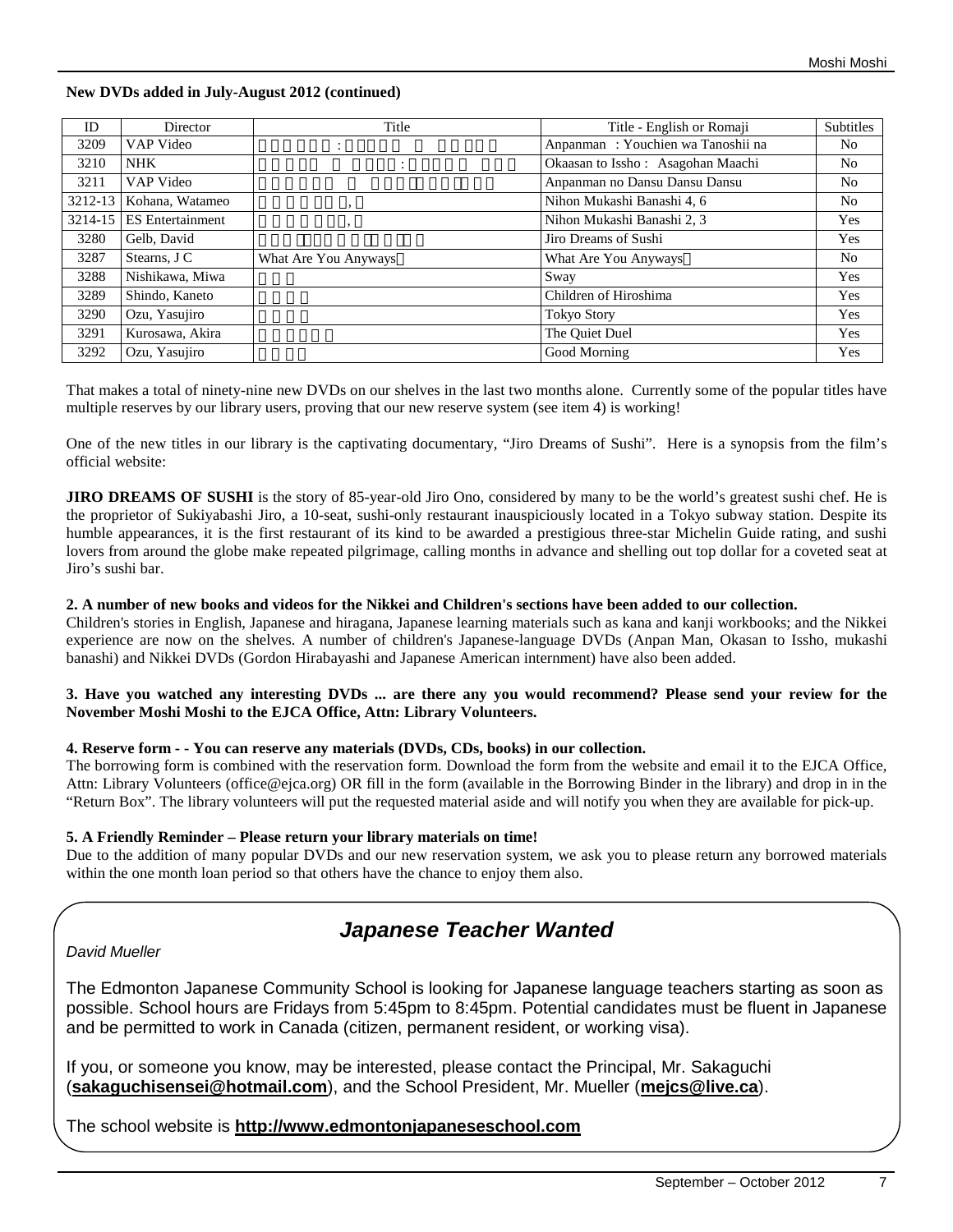#### **New DVDs added in July-August 2012 (continued)**

| ID      | Director                 | Title                | Title - English or Romaji         | <b>Subtitles</b> |
|---------|--------------------------|----------------------|-----------------------------------|------------------|
| 3209    | VAP Video                |                      | Anpanman: Youchien wa Tanoshii na | No               |
| 3210    | NHK                      |                      | Okaasan to Issho: Asagohan Maachi | No               |
| 3211    | VAP Video                |                      | Anpanman no Dansu Dansu Dansu     | No               |
| 3212-13 | Kohana, Watameo          |                      | Nihon Mukashi Banashi 4, 6        | No               |
|         | 3214-15 ES Entertainment |                      | Nihon Mukashi Banashi 2, 3        | Yes              |
| 3280    | Gelb, David              |                      | Jiro Dreams of Sushi              | Yes              |
| 3287    | Stearns, J C             | What Are You Anyways | What Are You Anyways              | N <sub>0</sub>   |
| 3288    | Nishikawa, Miwa          |                      | Sway                              | Yes              |
| 3289    | Shindo, Kaneto           |                      | Children of Hiroshima             | Yes              |
| 3290    | Ozu, Yasujiro            |                      | <b>Tokyo Story</b>                | Yes              |
| 3291    | Kurosawa, Akira          |                      | The Quiet Duel                    | Yes              |
| 3292    | Ozu, Yasujiro            |                      | Good Morning                      | Yes              |

That makes a total of ninety-nine new DVDs on our shelves in the last two months alone. Currently some of the popular titles have multiple reserves by our library users, proving that our new reserve system (see item 4) is working!

One of the new titles in our library is the captivating documentary, "Jiro Dreams of Sushi". Here is a synopsis from the film's official website:

**JIRO DREAMS OF SUSHI** is the story of 85-year-old Jiro Ono, considered by many to be the world's greatest sushi chef. He is the proprietor of Sukiyabashi Jiro, a 10-seat, sushi-only restaurant inauspiciously located in a Tokyo subway station. Despite its humble appearances, it is the first restaurant of its kind to be awarded a prestigious three-star Michelin Guide rating, and sushi lovers from around the globe make repeated pilgrimage, calling months in advance and shelling out top dollar for a coveted seat at Jiro's sushi bar.

#### **2. A number of new books and videos for the Nikkei and Children's sections have been added to our collection.**

Children's stories in English, Japanese and hiragana, Japanese learning materials such as kana and kanji workbooks; and the Nikkei experience are now on the shelves. A number of children's Japanese-language DVDs (Anpan Man, Okasan to Issho, mukashi banashi) and Nikkei DVDs (Gordon Hirabayashi and Japanese American internment) have also been added.

#### **3. Have you watched any interesting DVDs ... are there any you would recommend? Please send your review for the November Moshi Moshi to the EJCA Office, Attn: Library Volunteers.**

#### **4. Reserve form - - You can reserve any materials (DVDs, CDs, books) in our collection.**

The borrowing form is combined with the reservation form. Download the form from the website and email it to the EJCA Office, Attn: Library Volunteers (office@ejca.org) OR fill in the form (available in the Borrowing Binder in the library) and drop in in the "Return Box". The library volunteers will put the requested material aside and will notify you when they are available for pick-up.

#### **5. A Friendly Reminder – Please return your library materials on time!**

Due to the addition of many popular DVDs and our new reservation system, we ask you to please return any borrowed materials within the one month loan period so that others have the chance to enjoy them also.

# *Japanese Teacher Wanted*

### *David Mueller*

The Edmonton Japanese Community School is looking for Japanese language teachers starting as soon as possible. School hours are Fridays from 5:45pm to 8:45pm. Potential candidates must be fluent in Japanese and be permitted to work in Canada (citizen, permanent resident, or working visa).

If you, or someone you know, may be interested, please contact the Principal, Mr. Sakaguchi (**sakaguchisensei@hotmail.com**), and the School President, Mr. Mueller (**mejcs@live.ca**).

The school website is **http://www.edmontonjapaneseschool.com**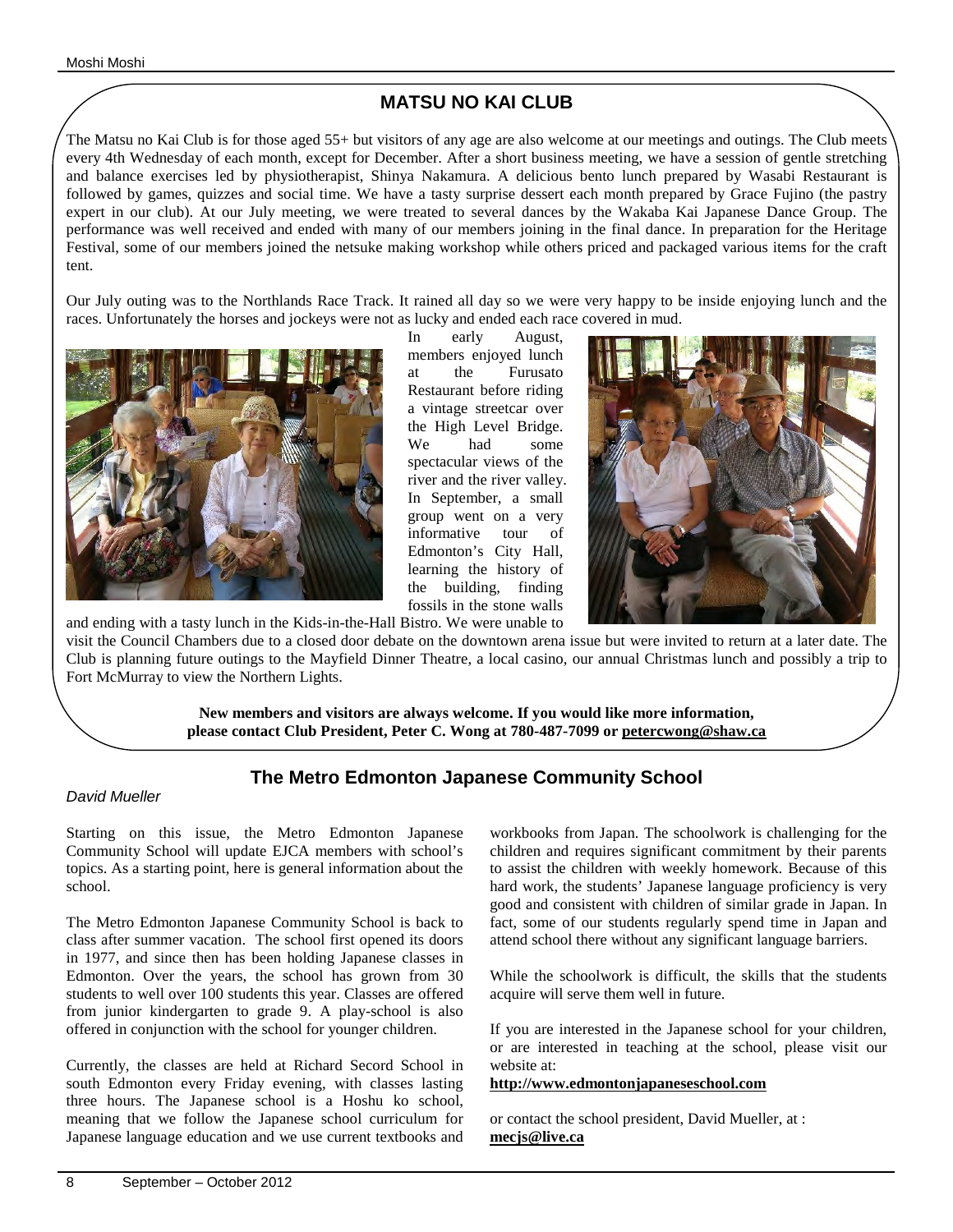# **MATSU NO KAI CLUB**

The Matsu no Kai Club is for those aged 55+ but visitors of any age are also welcome at our meetings and outings. The Club meets every 4th Wednesday of each month, except for December. After a short business meeting, we have a session of gentle stretching and balance exercises led by physiotherapist, Shinya Nakamura. A delicious bento lunch prepared by Wasabi Restaurant is followed by games, quizzes and social time. We have a tasty surprise dessert each month prepared by Grace Fujino (the pastry expert in our club). At our July meeting, we were treated to several dances by the Wakaba Kai Japanese Dance Group. The performance was well received and ended with many of our members joining in the final dance. In preparation for the Heritage Festival, some of our members joined the netsuke making workshop while others priced and packaged various items for the craft tent.

Our July outing was to the Northlands Race Track. It rained all day so we were very happy to be inside enjoying lunch and the races. Unfortunately the horses and jockeys were not as lucky and ended each race covered in mud.



In early August, members enjoyed lunch at the Furusato Restaurant before riding a vintage streetcar over the High Level Bridge. We had some spectacular views of the river and the river valley. In September, a small group went on a very informative tour of Edmonton's City Hall, learning the history of the building, finding fossils in the stone walls



and ending with a tasty lunch in the Kids-in-the-Hall Bistro. We were unable to visit the Council Chambers due to a closed door debate on the downtown arena issue but were invited to return at a later date. The Club is planning future outings to the Mayfield Dinner Theatre, a local casino, our annual Christmas lunch and possibly a trip to Fort McMurray to view the Northern Lights.

> **New members and visitors are always welcome. If you would like more information, please contact Club President, Peter C. Wong at 780-487-7099 or petercwong@shaw.ca**

## **The Metro Edmonton Japanese Community School**

#### *David Mueller*

Starting on this issue, the Metro Edmonton Japanese Community School will update EJCA members with school's topics. As a starting point, here is general information about the school.

The Metro Edmonton Japanese Community School is back to class after summer vacation. The school first opened its doors in 1977, and since then has been holding Japanese classes in Edmonton. Over the years, the school has grown from 30 students to well over 100 students this year. Classes are offered from junior kindergarten to grade 9. A play-school is also offered in conjunction with the school for younger children.

Currently, the classes are held at Richard Secord School in south Edmonton every Friday evening, with classes lasting three hours. The Japanese school is a Hoshu ko school, meaning that we follow the Japanese school curriculum for Japanese language education and we use current textbooks and workbooks from Japan. The schoolwork is challenging for the children and requires significant commitment by their parents to assist the children with weekly homework. Because of this hard work, the students' Japanese language proficiency is very good and consistent with children of similar grade in Japan. In fact, some of our students regularly spend time in Japan and attend school there without any significant language barriers.

While the schoolwork is difficult, the skills that the students acquire will serve them well in future.

If you are interested in the Japanese school for your children, or are interested in teaching at the school, please visit our website at:

#### **http://www.edmontonjapaneseschool.com**

or contact the school president, David Mueller, at : **mecjs@live.ca**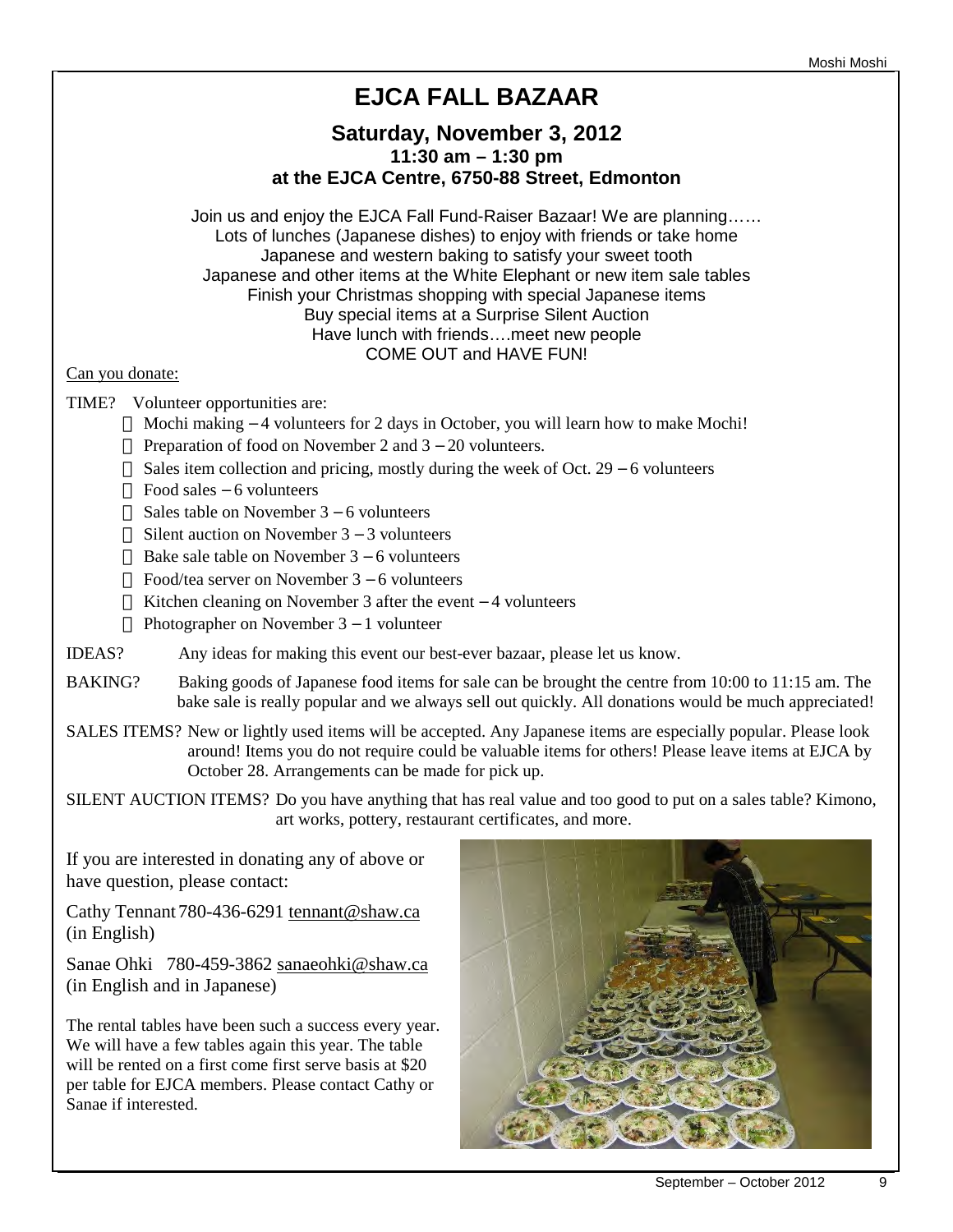# **EJCA FALL BAZAAR**

# **Saturday, November 3, 2012 11:30 am – 1:30 pm at the EJCA Centre, 6750-88 Street, Edmonton**

Join us and enjoy the EJCA Fall Fund-Raiser Bazaar! We are planning…… Lots of lunches (Japanese dishes) to enjoy with friends or take home Japanese and western baking to satisfy your sweet tooth Japanese and other items at the White Elephant or new item sale tables Finish your Christmas shopping with special Japanese items Buy special items at a Surprise Silent Auction Have lunch with friends….meet new people COME OUT and HAVE FUN!

## Can you donate:

TIME? Volunteer opportunities are:

Mochi making  $-4$  volunteers for 2 days in October, you will learn how to make Mochi! Preparation of food on November 2 and  $3 - 20$  volunteers. Sales item collection and pricing, mostly during the week of Oct.  $29 - 6$  volunteers Food sales  $-6$  volunteers Sales table on November  $3 - 6$  volunteers Silent auction on November  $3 - 3$  volunteers

Bake sale table on November  $3 - 6$  volunteers

Food/tea server on November  $3 - 6$  volunteers

Kitchen cleaning on November  $3$  after the event  $-4$  volunteers

Photographer on November  $3 - 1$  volunteer

IDEAS? Any ideas for making this event our best-ever bazaar, please let us know.

- BAKING? Baking goods of Japanese food items for sale can be brought the centre from 10:00 to 11:15 am. The bake sale is really popular and we always sell out quickly. All donations would be much appreciated!
- SALES ITEMS? New or lightly used items will be accepted. Any Japanese items are especially popular. Please look around! Items you do not require could be valuable items for others! Please leave items at EJCA by October 28. Arrangements can be made for pick up.
- SILENT AUCTION ITEMS? Do you have anything that has real value and too good to put on a sales table? Kimono, art works, pottery, restaurant certificates, and more.

If you are interested in donating any of above or have question, please contact:

Cathy Tennant 780-436-6291 tennant@shaw.ca (in English)

Sanae Ohki 780-459-3862 sanaeohki@shaw.ca (in English and in Japanese)

The rental tables have been such a success every year. We will have a few tables again this year. The table will be rented on a first come first serve basis at \$20 per table for EJCA members. Please contact Cathy or Sanae if interested.

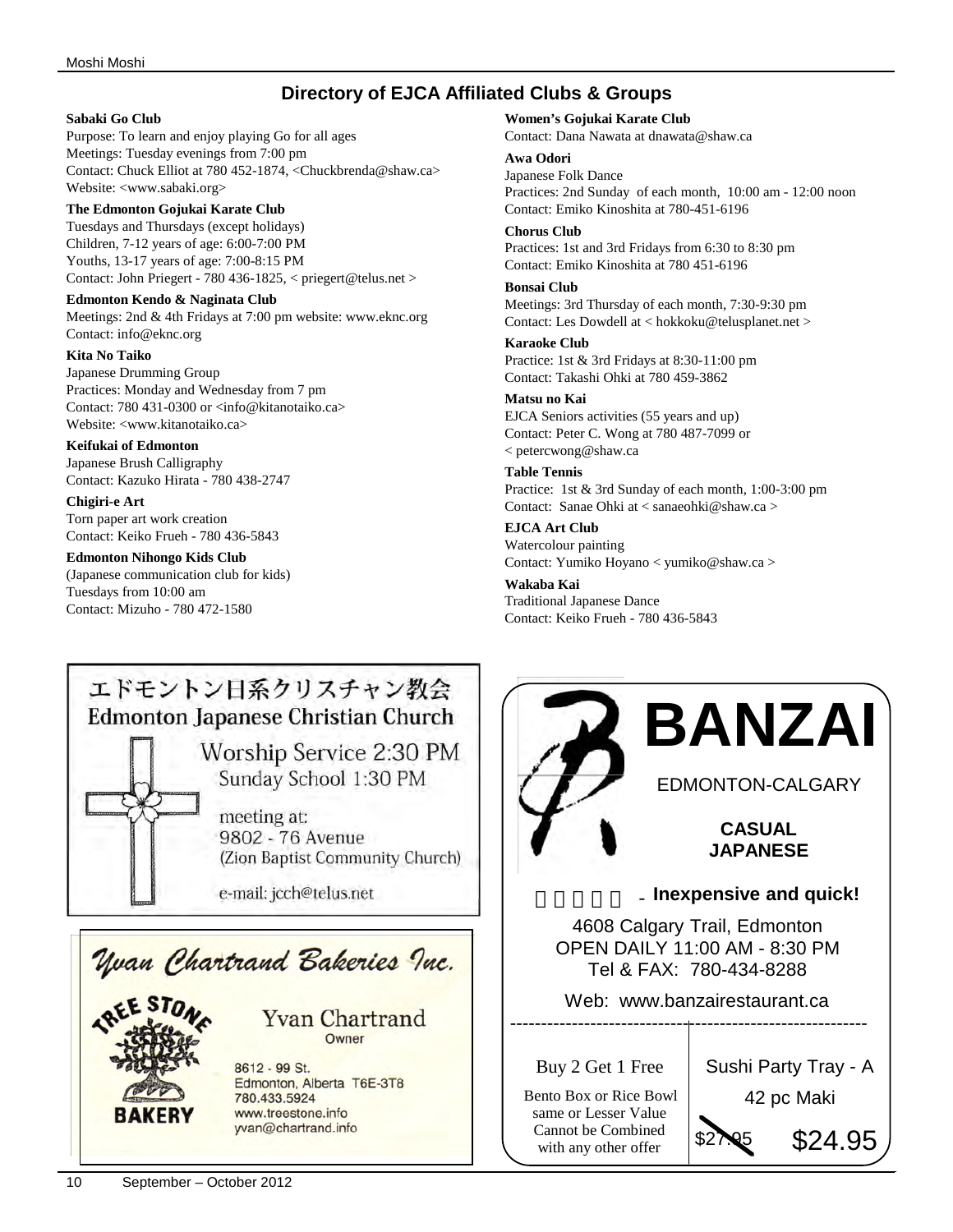# **Directory of EJCA Affiliated Clubs & Groups**

#### **Sabaki Go Club**

Purpose: To learn and enjoy playing Go for all ages Meetings: Tuesday evenings from 7:00 pm Contact: Chuck Elliot at 780 452-1874, <Chuckbrenda@shaw.ca> Website: <www.sabaki.org>

#### **The Edmonton Gojukai Karate Club**

Tuesdays and Thursdays (except holidays) Children, 7-12 years of age: 6:00-7:00 PM Youths, 13-17 years of age: 7:00-8:15 PM Contact: John Priegert - 780 436-1825, < priegert@telus.net >

#### **Edmonton Kendo & Naginata Club**

Meetings: 2nd & 4th Fridays at 7:00 pm website: www.eknc.org Contact: info@eknc.org

#### **Kita No Taiko**

Japanese Drumming Group Practices: Monday and Wednesday from 7 pm Contact: 780 431-0300 or <info@kitanotaiko.ca> Website: <www.kitanotaiko.ca>

#### **Keifukai of Edmonton**

Japanese Brush Calligraphy Contact: Kazuko Hirata - 780 438-2747

**Chigiri-e Art**  Torn paper art work creation Contact: Keiko Frueh - 780 436-5843

#### **Edmonton Nihongo Kids Club**

(Japanese communication club for kids) Tuesdays from 10:00 am Contact: Mizuho - 780 472-1580

#### **Women's Gojukai Karate Club**  Contact: Dana Nawata at dnawata@shaw.ca

**Awa Odori**  Japanese Folk Dance Practices: 2nd Sunday of each month, 10:00 am - 12:00 noon Contact: Emiko Kinoshita at 780-451-6196

**Chorus Club**  Practices: 1st and 3rd Fridays from 6:30 to 8:30 pm Contact: Emiko Kinoshita at 780 451-6196

#### **Bonsai Club**

Meetings: 3rd Thursday of each month, 7:30-9:30 pm Contact: Les Dowdell at < hokkoku@telusplanet.net >

#### **Karaoke Club**  Practice: 1st & 3rd Fridays at 8:30-11:00 pm Contact: Takashi Ohki at 780 459-3862

**Matsu no Kai**  EJCA Seniors activities (55 years and up) Contact: Peter C. Wong at 780 487-7099 or < petercwong@shaw.ca

### **Table Tennis**

Practice: 1st & 3rd Sunday of each month, 1:00-3:00 pm Contact: Sanae Ohki at < sanaeohki@shaw.ca >

### **EJCA Art Club**

Watercolour painting Contact: Yumiko Hoyano < yumiko@shaw.ca >

### **Wakaba Kai**

Traditional Japanese Dance Contact: Keiko Frueh - 780 436-5843

with any other offer

# エドモントン日系クリスチャン教会 **Edmonton Japanese Christian Church**



Worship Service 2:30 PM Sunday School 1:30 PM

meeting at: 9802 - 76 Avenue (Zion Baptist Community Church)

e-mail: jcch@telus.net





**Yvan Chartrand** Owner

8612 - 99 St. Edmonton, Alberta T6E-3T8 780.433.5924 www.treestone.info yvan@chartrand.info

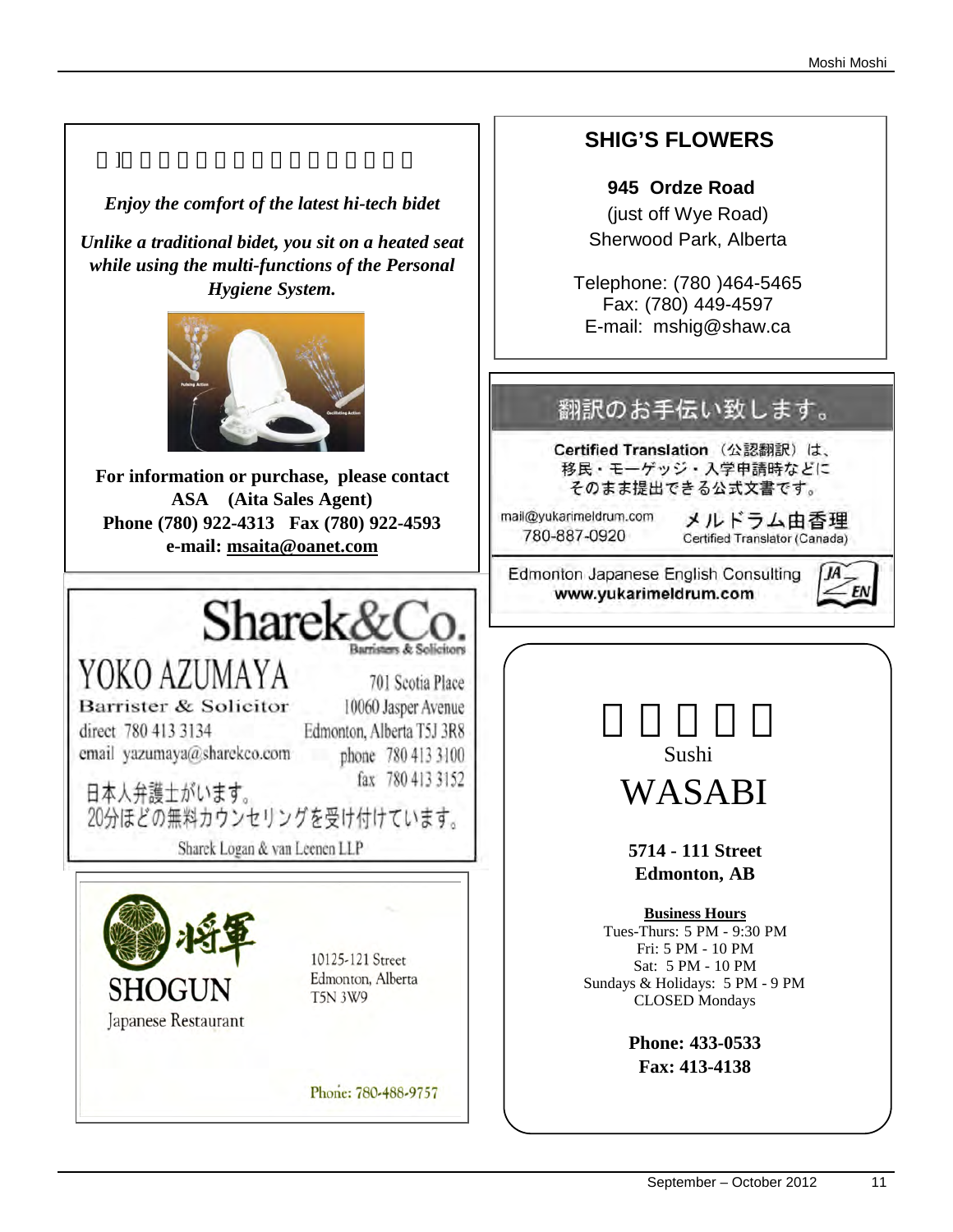## $\mathbf{I}$

*Enjoy the comfort of the latest hi-tech bidet* 

*Unlike a traditional bidet, you sit on a heated seat while using the multi-functions of the Personal Hygiene System.* 



**For information or purchase, please contact ASA (Aita Sales Agent) Phone (780) 922-4313 Fax (780) 922-4593 e-mail: msaita@oanet.com** 



Certified Translation (公認翻訳)は、

そのまま提出できる公式文書です。 mail@yukarimeldrum.com 780-887-0920

メルドラム由香理 Certified Translator (Canada)

Edmonton Japanese English Consulting www.yukarimeldrum.com

**SHIG'S FLOWERS** 

**945 Ordze Road**  (just off Wye Road) Sherwood Park, Alberta

Telephone: (780 )464-5465 Fax: (780) 449-4597 E-mail: mshig@shaw.ca

翻訳のお手伝い致します。

移民・モーゲッジ・入学申請時などに



Sushi WASABI

**5714 - 111 Street Edmonton, AB** 

**Business Hours**  Tues-Thurs: 5 PM - 9:30 PM Fri: 5 PM - 10 PM Sat: 5 PM - 10 PM Sundays & Holidays: 5 PM - 9 PM CLOSED Mondays

> **Phone: 433-0533 Fax: 413-4138**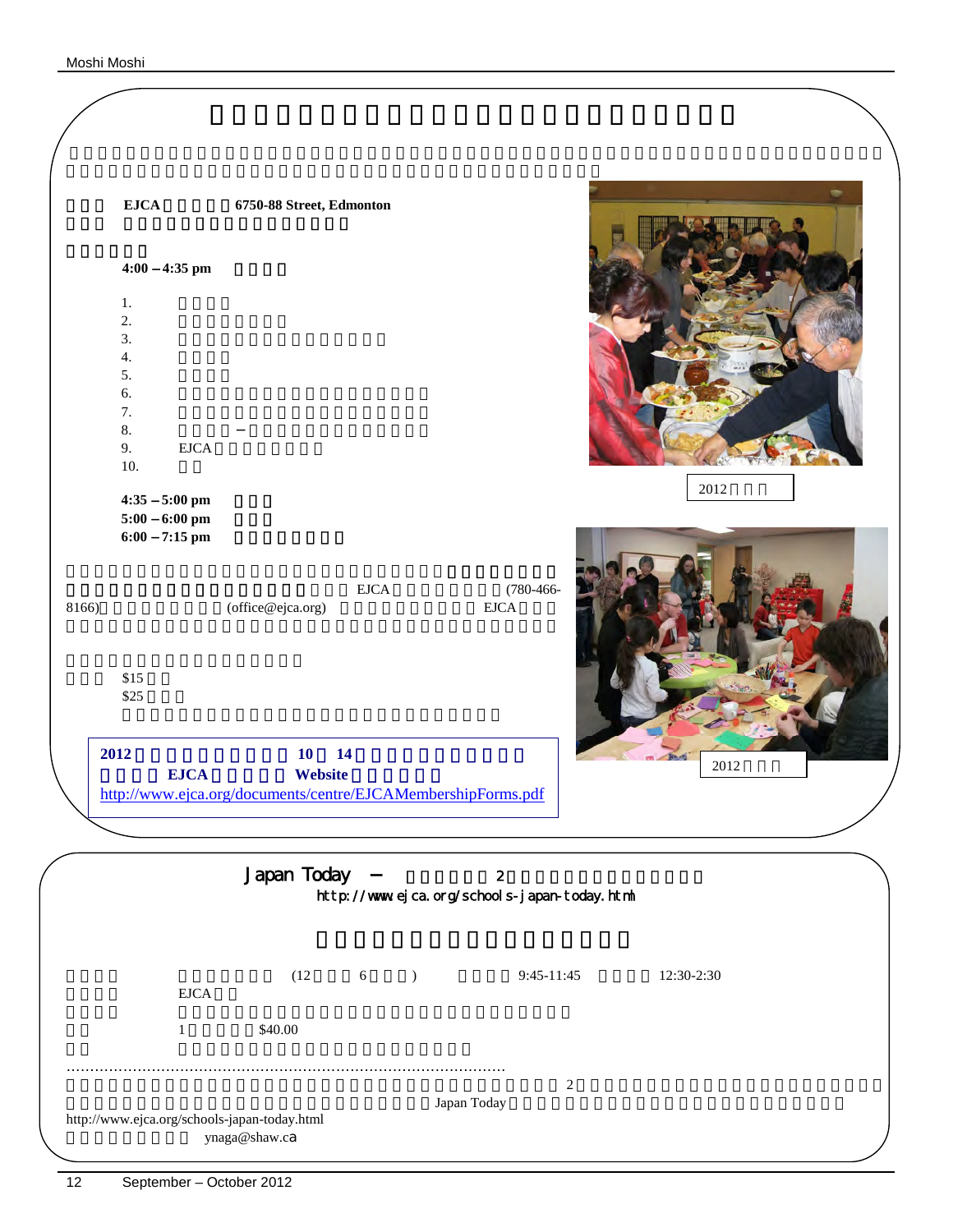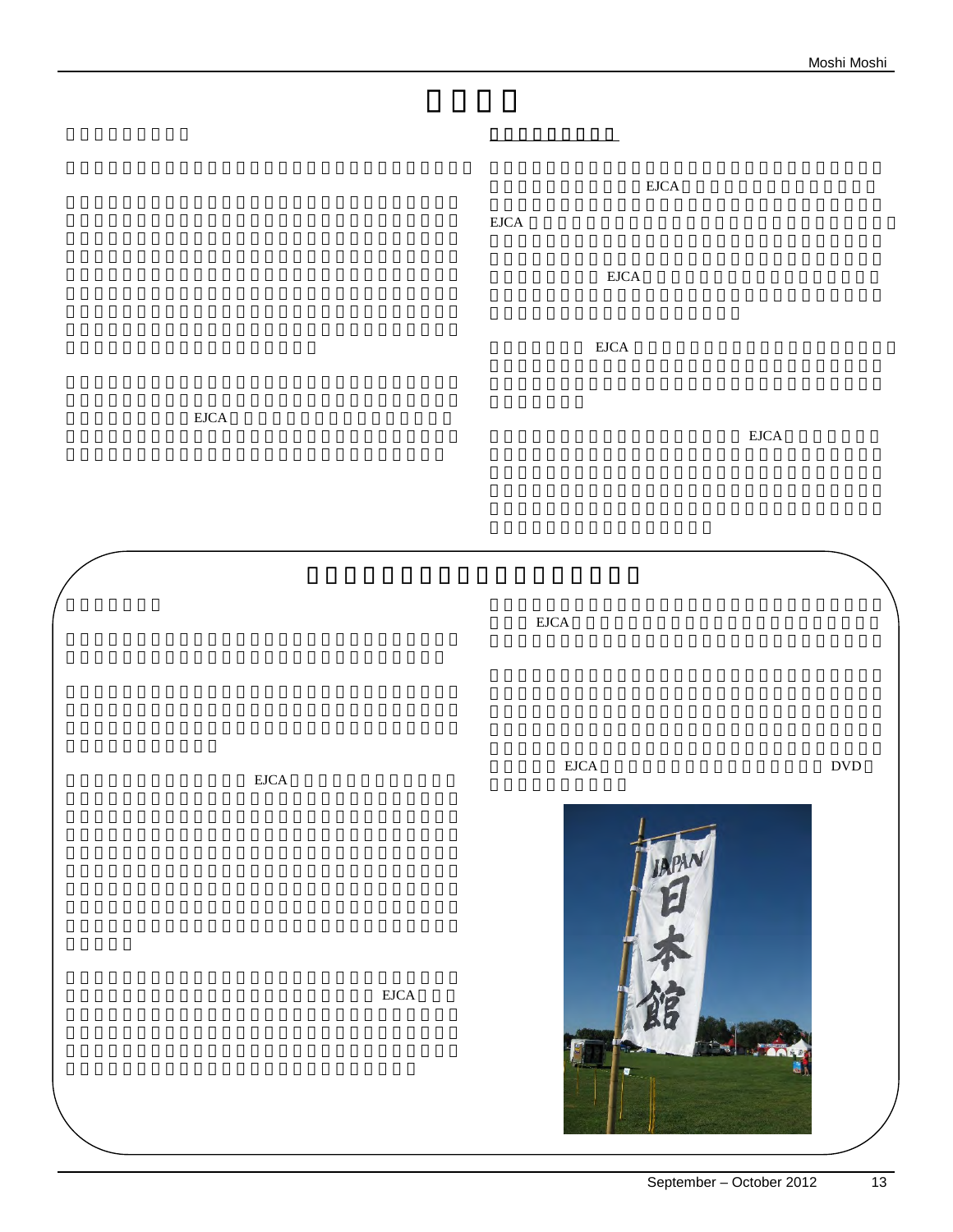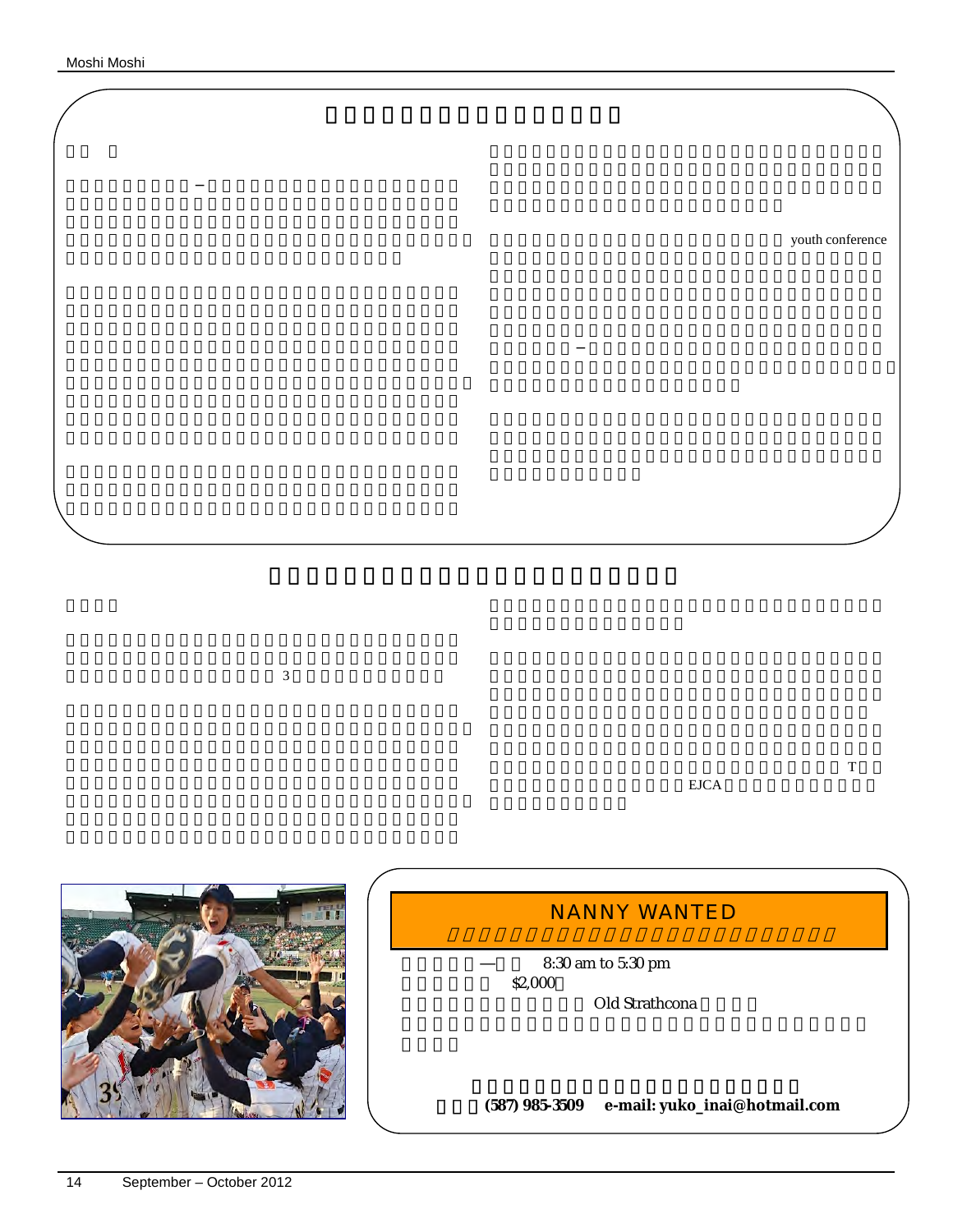youth conference

 $\mathbf T$  ${\rm EJCA}$ 

とたくさんの諸者会議を継続していく、それを継続していく、それを継続していく、それを継続していく、それを継続していく、それを継続していく、それを継続していく、それを継続していく、



 $3$ 

# NANNY WANTED

 $8:30$  am to  $5:30~\mathrm{pm}$ \$2,000

i<br>I

Old Strathcona

電話:**(587) 985-3509 e-mail: yuko\_inai@hotmail.com**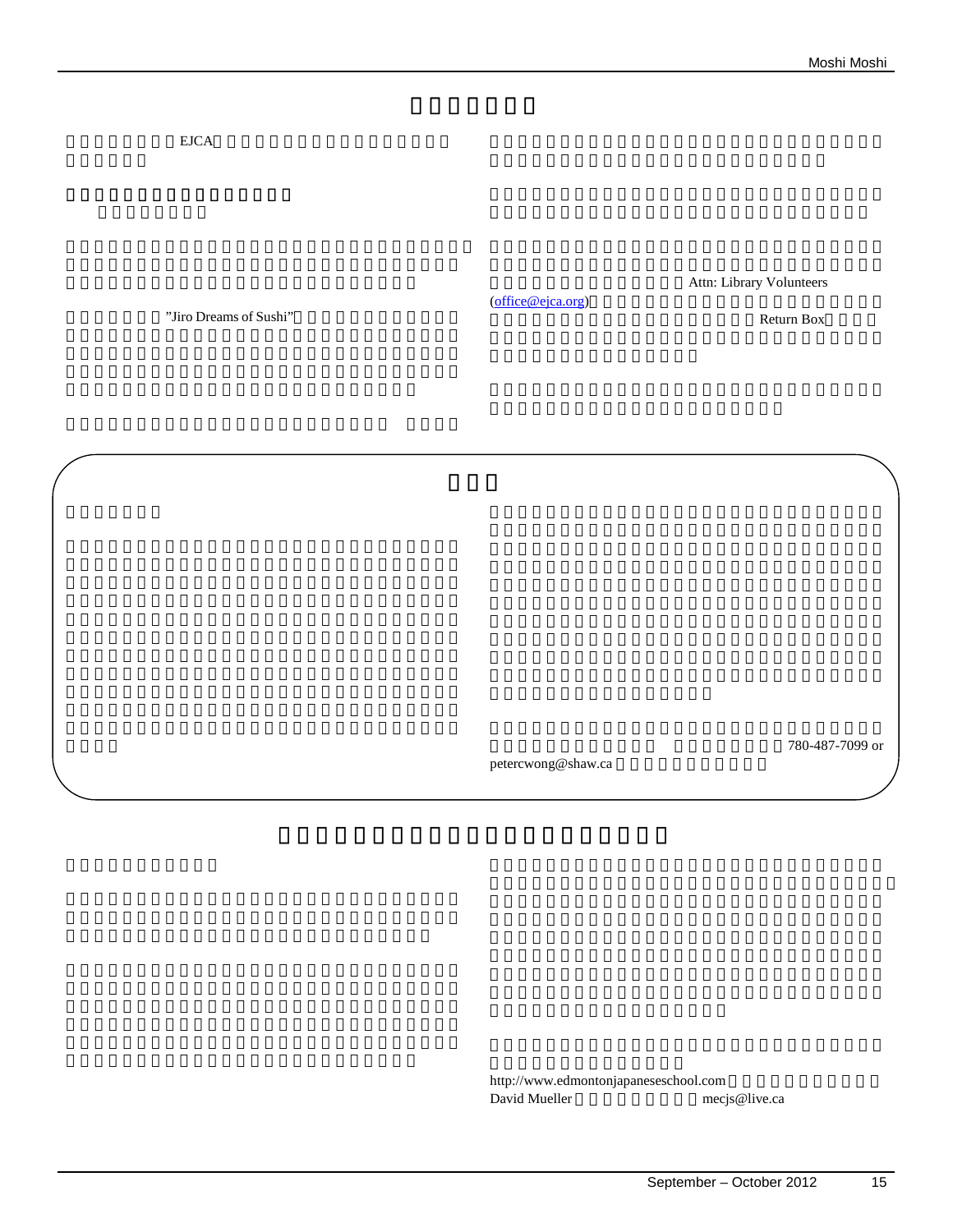EJCA

(office@ejca.org)

Ī

Return Box

Attn: Library Volunteers

"Jiro Dreams of Sushi"

petercwong@shaw.ca

780-487-7099 or

http://www.edmontonjapaneseschool.com David Mueller mecjs@live.ca